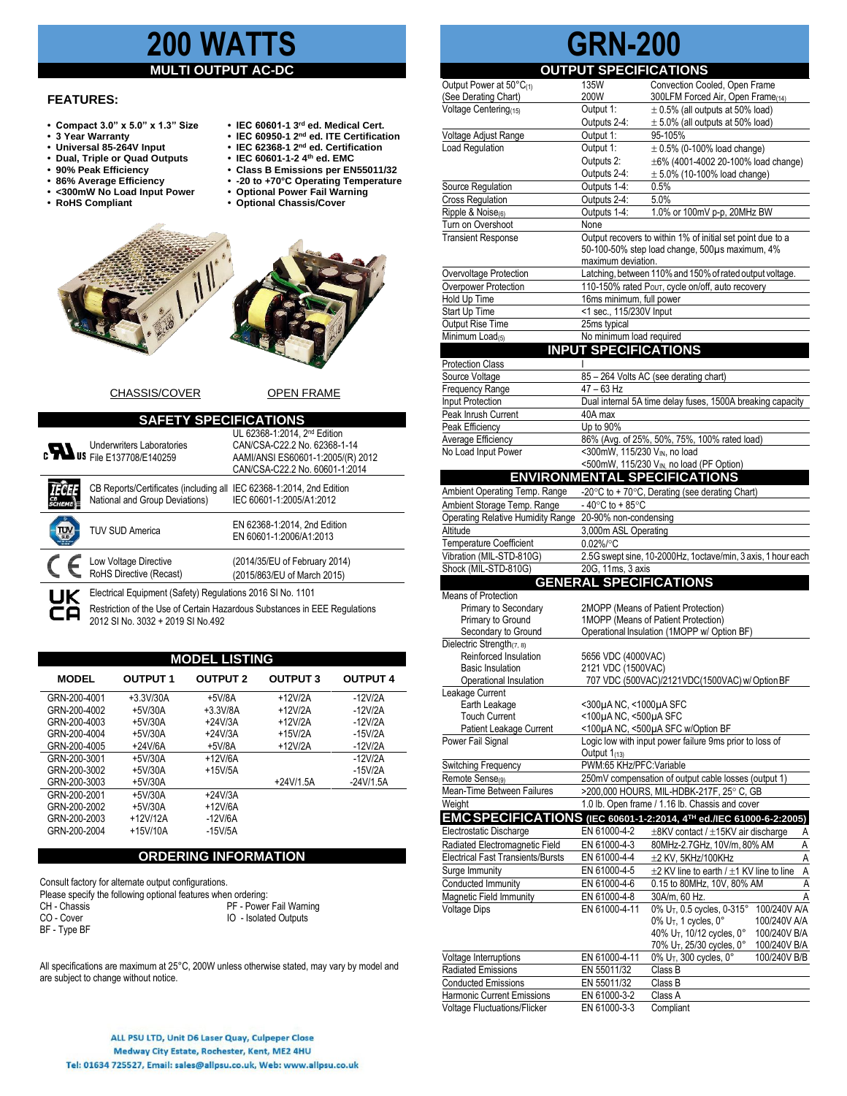# **2000** MA

#### **MULTI OUTPUT AC-DC**

#### **FEATURES:**

- **• Compact 3.0" x 5.0" x 1.3" Size IEC 60601-1 3**
- $\overline{\phantom{a}}$  **9** Year Warranty
- 
- **•** Dual, Triple or Quad Outputs<br>• 90% Peak Efficiency
- 
- 
- <300mW No Load Input Power<br>• RoHS Compliant
- 
- IEC 60601-1 3<sup>rd</sup> ed. Medical Cert.
- **IEC 60950-1 2<sup>nd</sup> ed. ITE Certification IEC 62368-1 2<sup>nd</sup> ed. Certification**
- **•** IEC 62368-1 2<sup>nd</sup> ed. Certific<br>Dual. Triple or Quad Outputs **•** IEC 60601-1-2 4<sup>th</sup> ed. EMC
	- **• 90% Peak Efficiency • Class B Emissions per EN55011/32**
	-
- **• 86% Average Efficiency • -20 to +70°C Operating Temperature** 
	- $$





#### CHASSIS/COVER OPEN FRAME

| <b>SAFETY SPECIFICATIONS</b> |                                                                                                        |                                                                                                                                                 |  |  |  |  |
|------------------------------|--------------------------------------------------------------------------------------------------------|-------------------------------------------------------------------------------------------------------------------------------------------------|--|--|--|--|
|                              | <b>Underwriters Laboratories</b><br><b>EXAMPLE 137708/E140259</b>                                      | UL 62368-1:2014. 2 <sup>nd</sup> Edition<br>CAN/CSA-C22.2 No. 62368-1-14<br>AAMI/ANSI ES60601-1:2005/(R) 2012<br>CAN/CSA-C22.2 No. 60601-1:2014 |  |  |  |  |
|                              | CB Reports/Certificates (including all IEC 62368-1:2014, 2nd Edition<br>National and Group Deviations) | IEC 60601-1:2005/A1:2012                                                                                                                        |  |  |  |  |
| П٦                           | <b>TUV SUD America</b>                                                                                 | EN 62368-1:2014, 2nd Edition<br>EN 60601-1:2006/A1:2013                                                                                         |  |  |  |  |
|                              | Low Voltage Directive<br>RoHS Directive (Recast)                                                       | (2014/35/EU of February 2014)<br>(2015/863/EU of March 2015)                                                                                    |  |  |  |  |
|                              | Electrical Equipment (Safety) Regulations 2016 SI No. 1101                                             |                                                                                                                                                 |  |  |  |  |
|                              | Restriction of the Use of Certain Hazardous Substances in FFF Regulations                              |                                                                                                                                                 |  |  |  |  |

Restriction of the Use of Certain Hazardous Substances in EEE Regulations 2012 SI No. 3032 + 2019 SI No.492

| <b>MODEL LISTING</b> |                 |                 |                 |                 |  |
|----------------------|-----------------|-----------------|-----------------|-----------------|--|
| <b>MODEL</b>         | <b>OUTPUT 1</b> | <b>OUTPUT 2</b> | <b>OUTPUT 3</b> | <b>OUTPUT 4</b> |  |
| GRN-200-4001         | $+3.3V/30A$     | $+5V/8A$        | $+12V/2A$       | $-12V/2A$       |  |
| GRN-200-4002         | $+5V/30A$       | $+3.3V/8A$      | $+12V/2A$       | $-12V/2A$       |  |
| GRN-200-4003         | $+5V/30A$       | $+24V/3A$       | $+12V/2A$       | $-12V/2A$       |  |
| GRN-200-4004         | $+5V/30A$       | $+24V/3A$       | $+15V/2A$       | $-15V/2A$       |  |
| GRN-200-4005         | $+24V/6A$       | $+5V/8A$        | $+12V/2A$       | $-12V/2A$       |  |
| GRN-200-3001         | $+5V/30A$       | $+12V/6A$       |                 | $-12V/2A$       |  |
| GRN-200-3002         | $+5V/30A$       | $+15V/5A$       |                 | $-15V/2A$       |  |
| GRN-200-3003         | $+5V/30A$       |                 | $+24V/1.5A$     | $-24V/1.5A$     |  |
| GRN-200-2001         | $+5V/30A$       | $+24V/3A$       |                 |                 |  |
| GRN-200-2002         | $+5V/30A$       | $+12V/6A$       |                 |                 |  |
| GRN-200-2003         | $+12V/12A$      | $-12V/6A$       |                 |                 |  |
| GRN-200-2004         | $+15V/10A$      | $-15V/5A$       |                 |                 |  |

#### **ORDERING INFORMATION**

Consult factory for alternate output configurations. Please specify the following optional features when ordering:<br>CH - Chassis<br>PF - Power CH - Chassis **PF - Power Fail Warning**<br>
CO - Cover **PR - Power Fail Warning**<br>
CO - Cover IO - Isolated Outputs BF - Type BF

All specifications are maximum at 25°C, 200W unless otherwise stated, may vary by model and are subject to change without notice.

# **GRN-200**

**OUTPUT SPECIFICATIONS** Output Power at 50°C<sub>(1)</sub> 135W Convection Cooled, Open Frame<br>
(See Derating Chart) 200W 300LFM Forced Air. Open Frame (See Derating Chart) 200W 300LFM Forced Air, Open Frame(14)  $\frac{1}{2}$ Voltage Centering<sub>(15)</sub> Output 1:  $\pm$  0.5% (all outputs at 50% load)<br>Outputs 2-4:  $\pm$  5.0% (all outputs at 50% load)  $\pm$  5.0% (all outputs at 50% load) Voltage Adjust Range Output 1: 95-105% Load Regulation  $\begin{array}{ccc} \hline \text{Output 1:} & \pm 0.5\% \text{ (0-100\% load change)} \end{array}$ Outputs 2:  $\pm 6\%$  (4001-4002 20-100% load change)<br>Outputs 2-4:  $\pm 5.0\%$  (10-100% load change)  $\pm$  5.0% (10-100% load change) Source Regulation **Culture COULD** Outputs 1-4: 0.5% Cross Regulation **Cross Regulation Cross Regulation**  $Ripple & Noise_{(6)}$  Outputs 1-4: 1.0% or 100mV p-p, 20MHz BW Turn on Overshoot None<br>Transient Response Outpu Output recovers to within 1% of initial set point due to a 50-100-50% step load change, 500µs maximum, 4% maximum deviation. Overvoltage Protection Latching,between 110%and 150%ofrated output voltage. Overpower Protection 110-150% rated P<sub>OUT</sub>, cycle on/off, auto recovery Hold Up Time 16ms minimum, full power Start Up Time <1 sec., 115/230V Input Output Rise Time 25ms typical  $Minimum Load_{(5)}$  No minimum load required **INPUT SPECIFICATIONS Protection Class** Source Voltage 85 – 264 Volts AC (see derating chart)<br>Frequency Range 47 – 63 Hz Frequency Range Input Protection Dual internal 5A time delay fuses, 1500A breaking capacity Peak Inrush Current 40A max Peak Efficiency<br>
Average Efficiency<br>
26% (Avg. 86% (Avg. of 25%, 50%, 75%, 100% rated load) No Load Input Power <300mW, 115/230 V<sub>IN</sub>, no load  $<$ 500mW, 115/230 V<sub>IN</sub> no load (PF) **ENVIRONMENTAL SPECIFICATIONS** Ambient Operating Temp. Range  $-20^{\circ}$ C to + 70 $^{\circ}$ C, Derating (see derating Chart) Ambient Storage Temp. Range  $-40^{\circ}$ C to  $+85^{\circ}$ C Operating Relative Humidity Range 20-90% non-condensing Altitude 3,000m ASL Operating Temperature Coefficient 0.02%/°C<br>Vibration (MIL-STD-810G) 2.5G swep 2.5G swept sine, 10-2000Hz, 1octave/min, 3 axis, 1 hour each Shock (MIL-STD-810G) 20G, 11ms, 3 axis **GENERAL SPECIFICATIONS** Means of Protection Primary to Secondary 2MOPP (Means of Patient Protection) Primary to Ground 1MOPP (Means of Patient Protection) Secondary to Ground **Operational Insulation (1MOPP w/ Option BF)** Dielectric Strength<sub>(7, 8)</sub> Reinforced Insulation 5656 VDC (4000VAC)<br>Basic Insulation 2121 VDC (1500VAC) Basic Insulation 2121 VDC (1500VAC)<br>Operational Insulation 707 VDC (500VAC)/ 707 VDC (500VAC)/2121VDC(1500VAC) w/ Option BF Leakage Current Earth Leakage <300µA NC, <1000µA SFC<br>Touch Current <100µA NC, <500µA SFC  $<$ 100 $\mu$ A NC,  $<$ 500 $\mu$ A SFC Patient Leakage Current <100µA NC, <500µA SFC w/Option BF<br>
Power Fail Signal Logic low with input power failure 9ms p Logic low with input power failure 9ms prior to loss of Output  $1_{(13)}$ Switching Frequency PWM:65 KHz/PFC:Variable Remote Sense<sub>(9)</sub> 250mV compensation of output cable losses (output 1) Mean-Time Between Failures >200,000 HOURS, MIL-HDBK-217F, 25° C, GB Weight 1.0 lb. Open frame / 1.16 lb. Chassis and cover **EMCSPECIFICATIONS (IEC 60601-1-2:2014, 4TH ed./IEC 61000-6-2:2005)** Electrostatic Discharge EN 61000-4-2  $\pm$ 8KV contact /  $\pm$ 15KV air discharge A<br>
Radiated Electromagnetic Field EN 61000-4-3 80MHz-2.7GHz, 10V/m, 80% AM A EN 61000-4-3 80MHz-2.7GHz, 10V/m, 80% AM A Electrical Fast Transients/Bursts EN 61000-4-4  $\pm$ 2 KV, 5KHz/100KHz A Surge Immunity EN 61000-4-5  $\pm$  2 KV line to earth /  $\pm$ 1 KV line to line A Conducted Immunity EN 61000-4-6 0.15 to 80MHz, 10V, 80% AM<br>Magnetic Field Immunity EN 61000-4-8 30A/m, 60 Hz. Magnetic Field Immunity Voltage Dips EN 61000-4-11 0% U<sub>T</sub>, 0.5 cycles, 0-315° 100/240V A/A<br>0% U<sub>T</sub>, 1 cycles, 0° 100/240V A/A  $0\%$  U<sub>T</sub>, 1 cycles,  $0^{\circ}$  100/240V A/A<br>40% U<sub>T</sub>, 10/12 cycles,  $0^{\circ}$  100/240V B/A 40% U<sub>T</sub>, 10/12 cycles, 0° 100/240V B/A<br>70% U<sub>T</sub>, 25/30 cycles, 0° 100/240V B/A 70% U<sub>T</sub>, 25/30 cycles, 0° 100/240V B/A<br>0% U<sub>T</sub>, 300 cycles, 0° 100/240V B/B Voltage Interruptions **EN 61000-4-11** 0% U<sub>T</sub>, 300 cycles, 0°<br>Radiated Emissions EN 55011/32 Class B Radiated Emissions EN 55011/32 Class B Conducted Emissions EN 55011/32 Class B Harmonic Current Emissions EN 61000-3-2 Class A

Voltage Fluctuations/Flicker EN 61000-3-3 Compliant